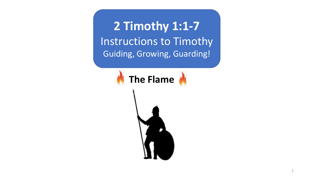**2 Timothy 1:1-7** Instructions to Timothy Guiding, Growing, Guarding!

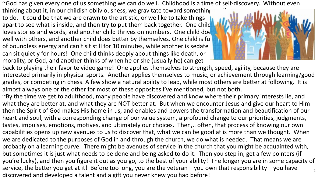~God has given every one of us something we can do well. Childhood is a time of self-discovery. Without even

thinking about it, in our childish obliviousness, we gravitate toward something to do. It could be that we are drawn to the artistic, or we like to take things apart to see what is inside, and then try to put them back together. One child loves stories and words, and another child thrives on numbers. One child does well with others, and another child does better by themselves. One child is fu of boundless energy and can't sit still for 10 minutes, while another is sedate – can sit quietly for hours! One child thinks deeply about things like death, or morality, or God, and another thinks of when he or she (usually he) can get



back to playing their favorite video game! One applies themselves to strength, speed, agility, because they are interested primarily in physical sports. Another applies themselves to music, or achievement through learning/good grades, or competing in chess. A few show a natural ability to lead, while most others are better at following. It is almost always one or the other for most of these opposites I've mentioned, but not both.

~By the time we get to adulthood, many people have discovered and know where their primary interests lie, and what they are better at, and what they are NOT better at. But when we encounter Jesus and give our heart to Him then the Spirit of God makes His home in us, and enables and powers the transformation and beautification of our heart and soul, with a corresponding change of our value system, a profound change to our priorities, judgments, tastes, impulses, emotions, motives, and ultimately our choices. Then,.. often, that process of knowing our own capabilities opens up new avenues to us to discover that, what we can be good at is more than we thought. When we are dedicated to the purposes of God in and through the church, we do what is needed. That means we are probably on a learning curve. There might be avenues of service in the church that you might be acquainted with, but sometimes it is just what needs to be done and being asked to do it. Then you step in, get a few pointers (if you're lucky), and then you figure it out as you go, to the best of your ability! The longer you are in some capacity of service, the better you get at it! Before too long, you are the veteran – you own that responsibility – you have discovered and developed a talent and a gift you never knew you had before! 2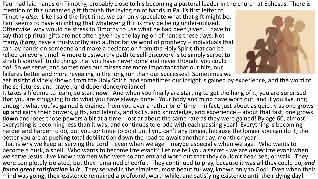Paul had laid hands on Timothy, probably close to his becoming a pastoral leader in the church at Ephesus. There is

mention of this unnamed gift through the laying on of hands in Paul's first letter to Timothy *also*. Like I said the first time, we can only speculate what that gift might be. Paul seems to have an inkling that whatever gift it is may be being under-utilized. Otherwise, why would he stress to Timothy to use what he had been given. I have to say that spiritual gifts are not often given by the laying on of hands these days. Not many, *if any*, have a trustworthy and authoritative word of prophecy – individuals that can lay hands on someone and make a declaration from the Holy Spirit that can be relied on every time! A more trustworthy path to self-discovery is to simply serve, to stretch yourself to do things that you have never done and never thought you could do! So we serve, and sometimes our misses are more important that our hits, our failures better and more revealing in the long run than our successes! Sometimes we



get insight divinely shown from the Holy Spirit, and sometimes our insight is gained by experience, and the word of the scriptures, and prayer, and dependence/reliance!

It takes a lifetime to learn, so start **now**! And when you finally are starting to get the hang of it, you are surprised that you are struggling to do what you have always done! Your body and mind have worn out, and if you live long enough, what you've gained is drained from you over a rather brief time – in fact, just about as quickly as one grows **up** and gains their powers, gifts, and talents, and skills, and knowledge, and experience – about that fast, one grows **down** and loses those powers a bit at a time - lost at about the same rate as they were gained! By age 60, almost everything is becoming less than it was, and continues to erode with each passing year! Everything is becoming harder and harder to do, but you continue to do it until you can't any longer, because the longer you can do it, the better you are at pushing total debilitation down the road to await another day, month or year! That is why we keep at serving the Lord – even when we age – maybe especially when we age! Who wants to become a husk, a shell. Who wants to become irrelevant? Let me tell you a secret - we are *never* irrelevant when we serve Jesus. I've known women who were so ancient and worn out that they couldn't hear, see, or walk. They were completely isolated, but they remained cheerful. They continued to pray, because it was all they could do, *and found great satisfaction in it*! They served in the simplest, most beautiful way, known only to God! Even when their mind was going, their existence remained a profound, worthwhile, and satisfying existence until their dying day! 3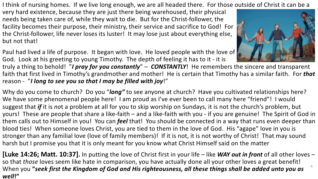I think of nursing homes. If we live long enough, we are all headed there. For those outside of Christ it can be a

very hard existence, because they are just there being warehoused, their physical needs being taken care of, while they wait to die. But for the Christ-follower, the facility becomes their purpose, their ministry, their service and sacrifice to God! For the Christ-follower, life never loses its luster! It may lose just about everything else, but not that!

Paul had lived a life of purpose. It began with love. He loved people with the love of God. Look at his greeting to young Timothy. The depth of feeling it has to it - it is

truly a thing to behold! "*I pray for you constantly*" – *CONSTANTLY*! He remembers the sincere and transparent faith that first lived in Timothy's grandmother and mother! He is certain that Timothy has a similar faith. For *that* reason - "*I long to see you so that I may be filled with joy*!"

Why do you come to church? Do you "*long"* to see anyone at church? Have you cultivated relationships here? We have some phenomenal people here! I am proud as I've ever been to call many here "friend"! I would suggest that *if* it is *no*t a problem at all for you to skip worship on Sundays, it is not the church's problem, but yours! These are people that share a like-faith – and a like-faith with you - if you are genuine! The Spirit of God in them calls out to Himself in you! You can *feel* that! You should be connected in a way that runs even deeper than blood ties! When someone loves Christ, you are tied to them in the love of God. His "agape" love in you is stronger than any familial love (love of family members)! If it is not, it is not worthy of Christ! That may sound harsh but I promise you that it is only meant for you know what Christ Himself said on the matter

**[Luke 14:26; Matt. 10:37].** In putting the love of Christ first in your life – like *WAY out in front* of all other loves – so that *those* loves seem like hate in comparison, you have actually done all your other loves a great benefit! When you **"***seek first the Kingdom of God and His righteousness, all these things shall be added unto you as well***!"** 4